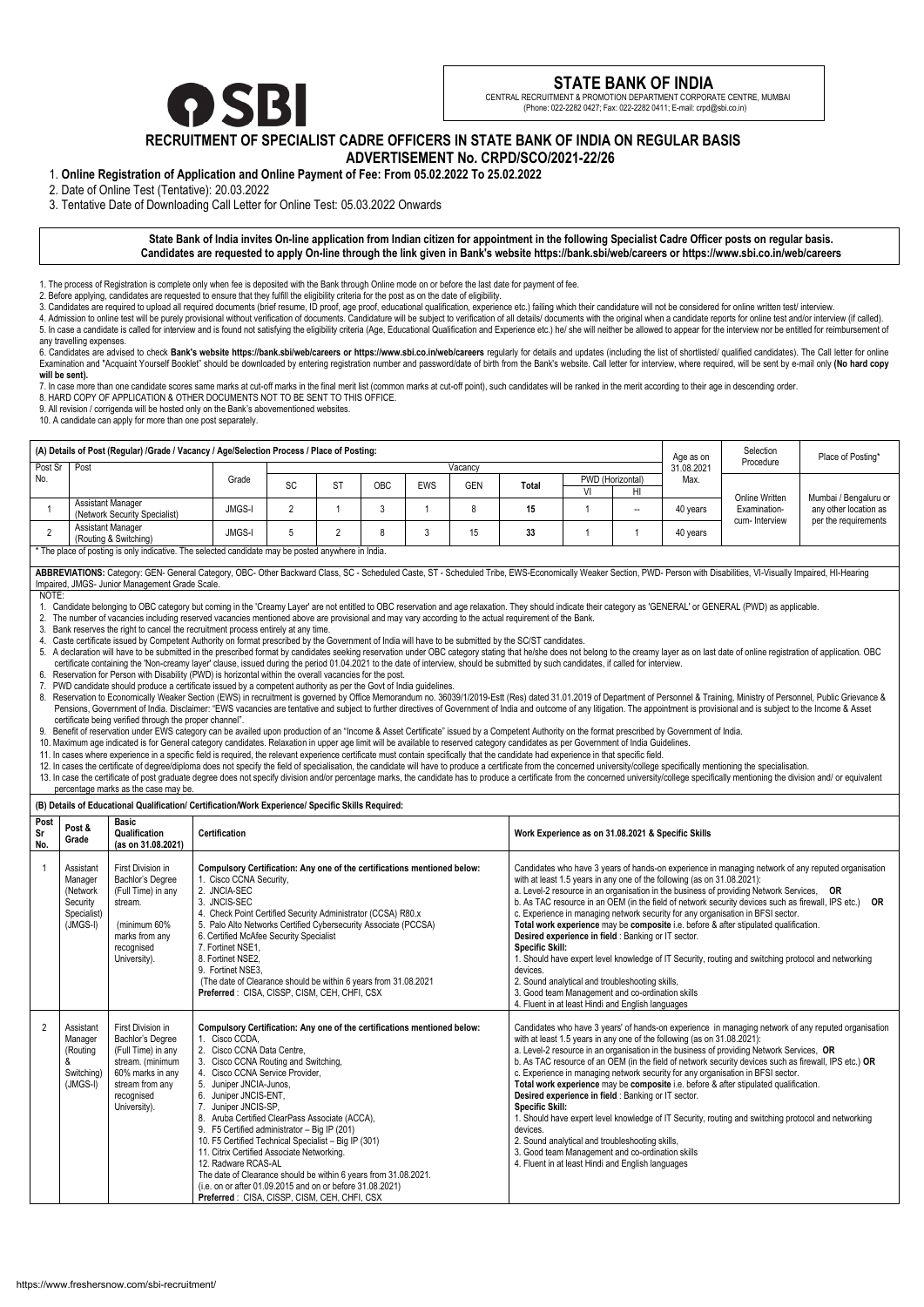# **RECRUITMENT OF SPECIALIST CADRE OFFICERS IN STATE BANK OF INDIA ON REGULAR BASIS ADVERTISEMENT No. CRPD/SCO/2021-22/26**

1. **Online Registration of Application and Online Payment of Fee: From 05.02.2022 To 25.02.2022**

2. Date of Online Test (Tentative): 20.03.2022

3. Tentative Date of Downloading Call Letter for Online Test: 05.03.2022 Onwards

# **State Bank of India invites On-line application from Indian citizen for appointment in the following Specialist Cadre Officer posts on regular basis. Candidates are requested to apply On-line through the link given in Bank's website https://bank.sbi/web/careers or https://www.sbi.co.in/web/careers**

1. The process of Registration is complete only when fee is deposited with the Bank through Online mode on or before the last date for payment of fee.

2. Before applying, candidates are requested to ensure that they fulfill the eligibility criteria for the post as on the date of eligibility.

3. Candidates are required to upload all required documents (brief resume, ID proof, age proof, educational qualification, experience etc.) failing which their candidature will not be considered for online written test/ in

4. Admission to online test will be purely provisional without verification of documents. Candidature will be subject to verification of all details/ documents with the original when a candidate reports for online test and 5. In case a candidate is called for interview and is found not satisfying the eligibility criteria (Age, Educational Qualification and Experience etc.) he/ she will neither be allowed to appear for the interview nor be en

| 6. Candidates are advised to check Bank's website https://bank.sbi/web/careers or https://www.sbi.co.in/web/careers regularly for details and updates (including the list of shortlisted/ qualified candidates). The Call lett |  |
|--------------------------------------------------------------------------------------------------------------------------------------------------------------------------------------------------------------------------------|--|
| Examination and "Acquaint Yourself Booklet" should be downloaded by entering registration number and password/date of birth from the Bank's website. Call letter for interview, where required, will be sent by e-mail only (N |  |
| will be sent).                                                                                                                                                                                                                 |  |

any travelling expenses.

ABBREVIATIONS: Category: GEN- General Category, OBC- Other Backward Class, SC - Scheduled Caste, ST - Scheduled Tribe, EWS-Economically Weaker Section, PWD- Person with Disabilities, VI-Visually Impaired, HI-Hearing Impaired, JMGS- Junior Management Grade Scale.

5. A declaration will have to be submitted in the prescribed format by candidates seeking reservation under OBC category stating that he/she does not belong to the creamy layer as on last date of online registration of app certificate containing the 'Non-creamy layer' clause, issued during the period 01.04.2021 to the date of interview, should be submitted by such candidates, if called for interview.

7. In case more than one candidate scores same marks at cut-off marks in the final merit list (common marks at cut-off point), such candidates will be ranked in the merit according to their age in descending order.

8. HARD COPY OF APPLICATION & OTHER DOCUMENTS NOT TO BE SENT TO THIS OFFICE.

9. All revision / corrigenda will be hosted only on the Bank's abovementioned websites.

10. A candidate can apply for more than one post separately.

8. Reservation to Economically Weaker Section (EWS) in recruitment is governed by Office Memorandum no. 36039/1/2019-Estt (Res) dated 31.01.2019 of Department of Personnel & Training, Ministry of Personnel, Public Grievanc Pensions, Government of India. Disclaimer: "EWS vacancies are tentative and subject to further directives of Government of India and outcome of any litigation. The appointment is provisional and is subject to the Income & certificate being verified through the proper channel".

| (A) Details of Post (Regular) /Grade / Vacancy / Age/Selection Process / Place of Posting: |                                                           |               |           |           |     |     |            |       | Age as on        | Selection | Place of Posting*       |                                                 |                                                |  |
|--------------------------------------------------------------------------------------------|-----------------------------------------------------------|---------------|-----------|-----------|-----|-----|------------|-------|------------------|-----------|-------------------------|-------------------------------------------------|------------------------------------------------|--|
| Post Sr                                                                                    | Post                                                      |               |           |           |     |     | Vacancy    |       |                  |           | Procedure<br>31.08.2021 |                                                 |                                                |  |
| No.                                                                                        |                                                           | Grade         | <b>SC</b> | <b>ST</b> | OBC | EWS | <b>GEN</b> | Total | PWD (Horizontal) |           | Max.                    |                                                 |                                                |  |
|                                                                                            |                                                           |               |           |           |     |     |            |       |                  | HI        |                         |                                                 |                                                |  |
|                                                                                            | <b>Assistant Manager</b><br>(Network Security Specialist) | <b>JMGS-I</b> |           |           |     |     |            | 15    |                  | --        | 40 years                | Online Written<br>Examination-<br>cum-Interview | Mumbai / Bengaluru or<br>any other location as |  |
|                                                                                            | <b>Assistant Manager</b><br>(Routing & Switching)         | <b>JMGS-I</b> |           |           |     |     | 15         | 33    |                  |           | 40 years                |                                                 | per the requirements                           |  |

13. In case the certificate of post graduate degree does not specify division and/or percentage marks, the candidate has to produce a certificate from the concerned university/college specifically mentioning the division a percentage marks as the case may be.

\* The place of posting is only indicative. The selected candidate may be posted anywhere in India.

NOTE:

1. Candidate belonging to OBC category but coming in the 'Creamy Layer' are not entitled to OBC reservation and age relaxation. They should indicate their category as 'GENERAL' or GENERAL (PWD) as applicable.

2. The number of vacancies including reserved vacancies mentioned above are provisional and may vary according to the actual requirement of the Bank.

3. Bank reserves the right to cancel the recruitment process entirely at any time.

4. Caste certificate issued by Competent Authority on format prescribed by the Government of India will have to be submitted by the SC/ST candidates.

6. Reservation for Person with Disability (PWD) is horizontal within the overall vacancies for the post.

7. PWD candidate should produce a certificate issued by a competent authority as per the Govt of India guidelines.

9. Benefit of reservation under EWS category can be availed upon production of an "Income & Asset Certificate" issued by a Competent Authority on the format prescribed by Government of India.

10. Maximum age indicated is for General category candidates. Relaxation in upper age limit will be available to reserved category candidates as per Government of India Guidelines.

11. In cases where experience in a specific field is required, the relevant experience certificate must contain specifically that the candidate had experience in that specific field.

12. In cases the certificate of degree/diploma does not specify the field of specialisation, the candidate will have to produce a certificate from the concerned university/college specifically mentioning the specialisation

**(B) Details of Educational Qualification/ Certification/Work Experience/ Specific Skills Required:**

| Post<br>Sr<br>No.        | Post &<br>Grade                                                           | <b>Basic</b><br>Qualification<br>(as on 31.08.2021)                                                                                                  | <b>Certification</b>                                                                                                                                                                                                                                                                                                                                                                                                                                                                                                                                                                                                                                                                            | Work Experience as on 31.08.2021 & Specific Skills                                                                                                                                                                                                                                                                                                                                                                                                                                                                                                                                                                                                                                                                                                                                                                                                                                                                                      |
|--------------------------|---------------------------------------------------------------------------|------------------------------------------------------------------------------------------------------------------------------------------------------|-------------------------------------------------------------------------------------------------------------------------------------------------------------------------------------------------------------------------------------------------------------------------------------------------------------------------------------------------------------------------------------------------------------------------------------------------------------------------------------------------------------------------------------------------------------------------------------------------------------------------------------------------------------------------------------------------|-----------------------------------------------------------------------------------------------------------------------------------------------------------------------------------------------------------------------------------------------------------------------------------------------------------------------------------------------------------------------------------------------------------------------------------------------------------------------------------------------------------------------------------------------------------------------------------------------------------------------------------------------------------------------------------------------------------------------------------------------------------------------------------------------------------------------------------------------------------------------------------------------------------------------------------------|
| $\overline{\phantom{0}}$ | Assistant<br>Manager<br>(Network<br>Security<br>Specialist)<br>$(JMGS-I)$ | First Division in<br>Bachlor's Degree<br>(Full Time) in any<br>stream.<br>(minimum 60%<br>marks from any<br>recognised<br>University).               | Compulsory Certification: Any one of the certifications mentioned below:<br>1. Cisco CCNA Security,<br>2. JNCIA-SEC<br>3. JNCIS-SEC<br>4. Check Point Certified Security Administrator (CCSA) R80.x<br>5. Palo Alto Networks Certified Cybersecurity Associate (PCCSA)<br>6. Certified McAfee Security Specialist<br>7. Fortinet NSE1,<br>8. Fortinet NSE2,<br>9. Fortinet NSE3,<br>(The date of Clearance should be within 6 years from 31.08.2021<br>Preferred: CISA, CISSP, CISM, CEH, CHFI, CSX                                                                                                                                                                                             | Candidates who have 3 years of hands-on experience in managing network of any reputed organisation<br>with at least 1.5 years in any one of the following (as on 31.08.2021):<br>a. Level-2 resource in an organisation in the business of providing Network Services, OR<br>b. As TAC resource in an OEM (in the field of network security devices such as firewall, IPS etc.)<br><b>OR</b><br>c. Experience in managing network security for any organisation in BFSI sector.<br>Total work experience may be composite i.e. before & after stipulated qualification.<br>Desired experience in field : Banking or IT sector.<br><b>Specific Skill:</b><br>1. Should have expert level knowledge of IT Security, routing and switching protocol and networking<br>devices.<br>2. Sound analytical and troubleshooting skills,<br>3. Good team Management and co-ordination skills<br>4. Fluent in at least Hindi and English languages |
| $\overline{2}$           | Assistant<br>Manager<br>(Routing<br>&<br>Switching)<br>$(JMGS-I)$         | First Division in<br>Bachlor's Degree<br>(Full Time) in any<br>stream. (minimum<br>60% marks in any<br>stream from any<br>recognised<br>University). | Compulsory Certification: Any one of the certifications mentioned below:<br>1. Cisco CCDA,<br>2. Cisco CCNA Data Centre,<br>3. Cisco CCNA Routing and Switching,<br>4. Cisco CCNA Service Provider,<br>5. Juniper JNCIA-Junos,<br>6. Juniper JNCIS-ENT,<br>7. Juniper JNCIS-SP,<br>8. Aruba Certified ClearPass Associate (ACCA),<br>9. F5 Certified administrator - Big IP (201)<br>10. F5 Certified Technical Specialist - Big IP (301)<br>11. Citrix Certified Associate Networking.<br>12. Radware RCAS-AL<br>The date of Clearance should be within 6 years from 31.08.2021.<br>(i.e. on or after 01.09.2015 and on or before 31.08.2021)<br>Preferred : CISA, CISSP, CISM, CEH, CHFI, CSX | Candidates who have 3 years' of hands-on experience in managing network of any reputed organisation<br>with at least 1.5 years in any one of the following (as on 31.08.2021):<br>a. Level-2 resource in an organisation in the business of providing Network Services, OR<br>b. As TAC resource of an OEM (in the field of network security devices such as firewall, IPS etc.) OR<br>c. Experience in managing network security for any organisation in BFSI sector.<br>Total work experience may be composite i.e. before & after stipulated qualification.<br>Desired experience in field : Banking or IT sector.<br><b>Specific Skill:</b><br>1. Should have expert level knowledge of IT Security, routing and switching protocol and networking<br>devices.<br>2. Sound analytical and troubleshooting skills,<br>3. Good team Management and co-ordination skills<br>4. Fluent in at least Hindi and English languages          |



# **STATE BANK OF INDIA**

 CENTRAL RECRUITMENT & PROMOTION DEPARTMENT CORPORATE CENTRE, MUMBAI (Phone: 022-2282 0427; Fax: 022-2282 0411; E-mail: crpd@sbi.co.in)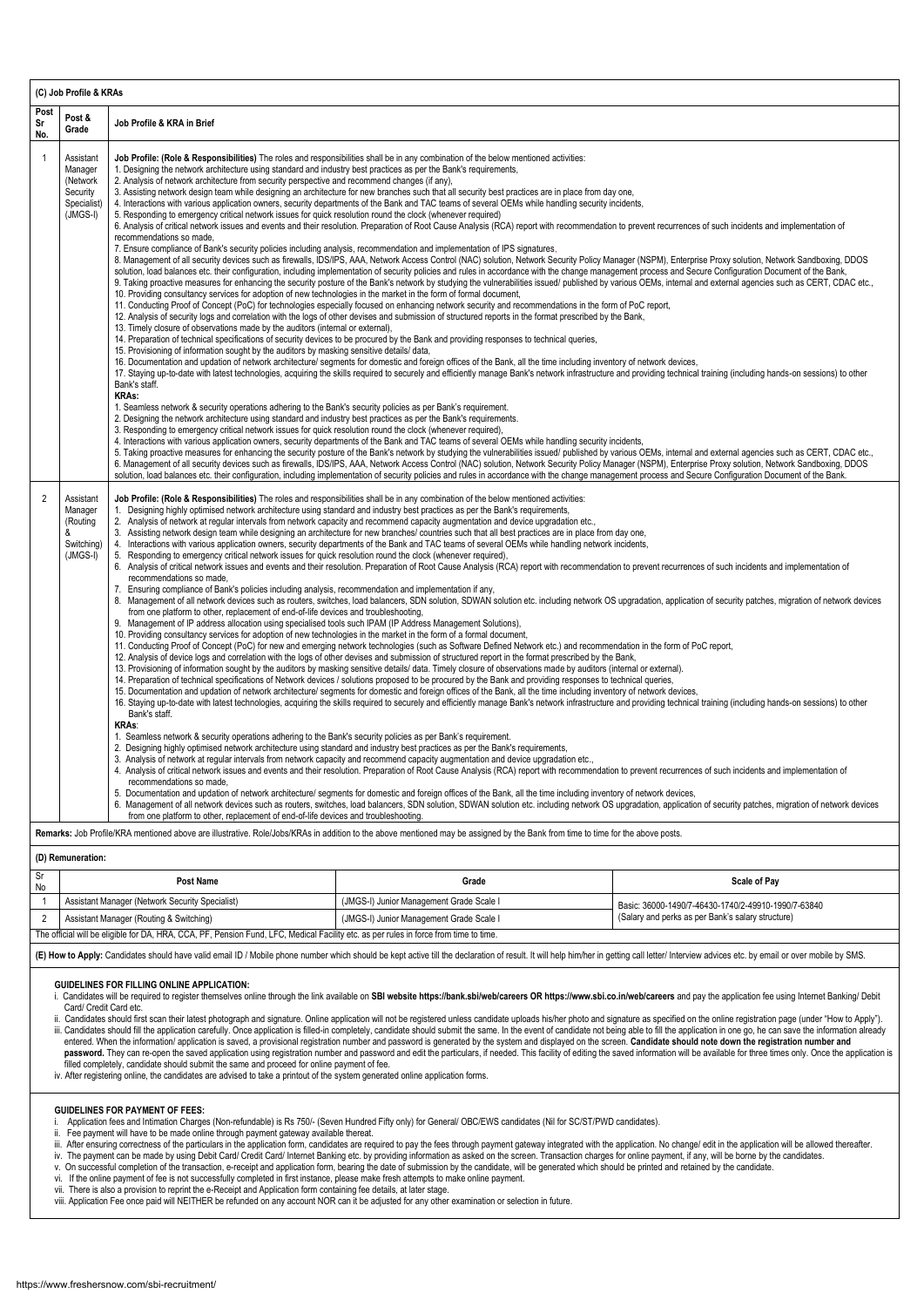| (C) Job Profile & KRAs                                                                                                                                                                               |                                                                                                                                                                                                                                                                                                                                                                                                                                                                                                                                                                                                                                                                                                                                                                                                                                                                                                                                                                                                                                                                                                                                                                                                                                                                                                                                                                                                                                                                                                                                                                                                                                                                                                                                                                                                                                                                                                                                                                                                                                                                                                                                                                                                                                                                                                                                                                                                                                                                                                                                                                                                                                                                                                                                                                                                                                                                                                                                                                                                                                                                                                                                                                                                                                                                                                                                                                                                                                                                                                                                                                                                                                                                                                                                                                                                                                                                                                                                                                                                                                                                                                                                                                                                                                                                    |                            |  |  |  |  |  |
|------------------------------------------------------------------------------------------------------------------------------------------------------------------------------------------------------|--------------------------------------------------------------------------------------------------------------------------------------------------------------------------------------------------------------------------------------------------------------------------------------------------------------------------------------------------------------------------------------------------------------------------------------------------------------------------------------------------------------------------------------------------------------------------------------------------------------------------------------------------------------------------------------------------------------------------------------------------------------------------------------------------------------------------------------------------------------------------------------------------------------------------------------------------------------------------------------------------------------------------------------------------------------------------------------------------------------------------------------------------------------------------------------------------------------------------------------------------------------------------------------------------------------------------------------------------------------------------------------------------------------------------------------------------------------------------------------------------------------------------------------------------------------------------------------------------------------------------------------------------------------------------------------------------------------------------------------------------------------------------------------------------------------------------------------------------------------------------------------------------------------------------------------------------------------------------------------------------------------------------------------------------------------------------------------------------------------------------------------------------------------------------------------------------------------------------------------------------------------------------------------------------------------------------------------------------------------------------------------------------------------------------------------------------------------------------------------------------------------------------------------------------------------------------------------------------------------------------------------------------------------------------------------------------------------------------------------------------------------------------------------------------------------------------------------------------------------------------------------------------------------------------------------------------------------------------------------------------------------------------------------------------------------------------------------------------------------------------------------------------------------------------------------------------------------------------------------------------------------------------------------------------------------------------------------------------------------------------------------------------------------------------------------------------------------------------------------------------------------------------------------------------------------------------------------------------------------------------------------------------------------------------------------------------------------------------------------------------------------------------------------------------------------------------------------------------------------------------------------------------------------------------------------------------------------------------------------------------------------------------------------------------------------------------------------------------------------------------------------------------------------------------------------------------------------------------------------------------------------------|----------------------------|--|--|--|--|--|
| Post<br>Sr<br>No.                                                                                                                                                                                    | Post &<br>Grade                                                                                                                                                                                                                                                                                                                                                                                                                                                                                                                                                                                                                                                                                                                                                                                                                                                                                                                                                                                                                                                                                                                                                                                                                                                                                                                                                                                                                                                                                                                                                                                                                                                                                                                                                                                                                                                                                                                                                                                                                                                                                                                                                                                                                                                                                                                                                                                                                                                                                                                                                                                                                                                                                                                                                                                                                                                                                                                                                                                                                                                                                                                                                                                                                                                                                                                                                                                                                                                                                                                                                                                                                                                                                                                                                                                                                                                                                                                                                                                                                                                                                                                                                                                                                                                    | Job Profile & KRA in Brief |  |  |  |  |  |
| $\overline{1}$                                                                                                                                                                                       | Job Profile: (Role & Responsibilities) The roles and responsibilities shall be in any combination of the below mentioned activities:<br>Assistant<br>1. Designing the network architecture using standard and industry best practices as per the Bank's requirements,<br>Manager<br>2. Analysis of network architecture from security perspective and recommend changes (if any),<br>(Network<br>3. Assisting network design team while designing an architecture for new branches such that all security best practices are in place from day one,<br>Security<br>4. Interactions with various application owners, security departments of the Bank and TAC teams of several OEMs while handling security incidents,<br>Specialist)<br>$(JMGS-I)$<br>5. Responding to emergency critical network issues for quick resolution round the clock (whenever required)<br>6. Analysis of critical network issues and events and their resolution. Preparation of Root Cause Analysis (RCA) report with recommendation to prevent recurrences of such incidents and implementation of<br>recommendations so made,<br>7. Ensure compliance of Bank's security policies including analysis, recommendation and implementation of IPS signatures,<br>8. Management of all security devices such as firewalls, IDS/IPS, AAA, Network Access Control (NAC) solution, Network Security Policy Manager (NSPM), Enterprise Proxy solution, Network Sandboxing, DDOS<br>solution, load balances etc. their configuration, including implementation of security policies and rules in accordance with the change management process and Secure Configuration Document of the Bank,<br>9. Taking proactive measures for enhancing the security posture of the Bank's network by studying the vulnerabilities issued/ published by various OEMs, internal and external agencies such as CERT, CDAC etc.,<br>10. Providing consultancy services for adoption of new technologies in the market in the form of formal document,<br>11. Conducting Proof of Concept (PoC) for technologies especially focused on enhancing network security and recommendations in the form of PoC report,<br>12. Analysis of security logs and correlation with the logs of other devises and submission of structured reports in the format prescribed by the Bank,<br>13. Timely closure of observations made by the auditors (internal or external),<br>14. Preparation of technical specifications of security devices to be procured by the Bank and providing responses to technical queries,<br>15. Provisioning of information sought by the auditors by masking sensitive details/ data,<br>16. Documentation and updation of network architecture/ segments for domestic and foreign offices of the Bank, all the time including inventory of network devices,<br>17. Staying up-to-date with latest technologies, acquiring the skills required to securely and efficiently manage Bank's network infrastructure and providing technical training (including hands-on sessions) to other<br>Bank's staff.<br><b>KRAs:</b><br>1. Seamless network & security operations adhering to the Bank's security policies as per Bank's requirement.<br>2. Designing the network architecture using standard and industry best practices as per the Bank's requirements.<br>3. Responding to emergency critical network issues for quick resolution round the clock (whenever required),<br>4. Interactions with various application owners, security departments of the Bank and TAC teams of several OEMs while handling security incidents,<br>5. Taking proactive measures for enhancing the security posture of the Bank's network by studying the vulnerabilities issued/ published by various OEMs, internal and external agencies such as CERT, CDAC etc.,<br>6. Management of all security devices such as firewalls, IDS/IPS, AAA, Network Access Control (NAC) solution, Network Security Policy Manager (NSPM), Enterprise Proxy solution, Network Sandboxing, DDOS                                                                                                                                                                                                                       |                            |  |  |  |  |  |
| $\overline{2}$                                                                                                                                                                                       | solution, load balances etc. their configuration, including implementation of security policies and rules in accordance with the change management process and Secure Configuration Document of the Bank.<br>Job Profile: (Role & Responsibilities) The roles and responsibilities shall be in any combination of the below mentioned activities:<br>Assistant<br>1. Designing highly optimised network architecture using standard and industry best practices as per the Bank's requirements,<br>Manager<br>2. Analysis of network at regular intervals from network capacity and recommend capacity augmentation and device upgradation etc.,<br>(Routing<br>3. Assisting network design team while designing an architecture for new branches/ countries such that all best practices are in place from day one,<br>&<br>4. Interactions with various application owners, security departments of the Bank and TAC teams of several OEMs while handling network incidents,<br>Switching)<br>$(JMGS-I)$<br>5. Responding to emergency critical network issues for quick resolution round the clock (whenever required),<br>6. Analysis of critical network issues and events and their resolution. Preparation of Root Cause Analysis (RCA) report with recommendation to prevent recurrences of such incidents and implementation of<br>recommendations so made,<br>Ensuring compliance of Bank's policies including analysis, recommendation and implementation if any,<br>7.<br>8. Management of all network devices such as routers, switches, load balancers, SDN solution, SDWAN solution etc. including network OS upgradation, application of security patches, migration of network devices<br>from one platform to other, replacement of end-of-life devices and troubleshooting,<br>9. Management of IP address allocation using specialised tools such IPAM (IP Address Management Solutions),<br>10. Providing consultancy services for adoption of new technologies in the market in the form of a formal document,<br>11. Conducting Proof of Concept (PoC) for new and emerging network technologies (such as Software Defined Network etc.) and recommendation in the form of PoC report,<br>12. Analysis of device logs and correlation with the logs of other devises and submission of structured report in the format prescribed by the Bank,<br>13. Provisioning of information sought by the auditors by masking sensitive details/ data. Timely closure of observations made by auditors (internal or external).<br>14. Preparation of technical specifications of Network devices / solutions proposed to be procured by the Bank and providing responses to technical queries,<br>15. Documentation and updation of network architecture/ segments for domestic and foreign offices of the Bank, all the time including inventory of network devices,<br>16. Staying up-to-date with latest technologies, acquiring the skills required to securely and efficiently manage Bank's network infrastructure and providing technical training (including hands-on sessions) to other<br>Bank's staff.<br><b>KRAs:</b><br>1. Seamless network & security operations adhering to the Bank's security policies as per Bank's requirement.<br>2. Designing highly optimised network architecture using standard and industry best practices as per the Bank's requirements,<br>3. Analysis of network at regular intervals from network capacity and recommend capacity augmentation and device upgradation etc.,<br>4. Analysis of critical network issues and events and their resolution. Preparation of Root Cause Analysis (RCA) report with recommendation to prevent recurrences of such incidents and implementation of<br>recommendations so made,<br>5. Documentation and updation of network architecture/ segments for domestic and foreign offices of the Bank, all the time including inventory of network devices,<br>6. Management of all network devices such as routers, switches, load balancers, SDN solution, SDWAN solution etc. including network OS upgradation, application of security patches, migration of network devices<br>from one platform to other, replacement of end-of-life devices and troubleshooting. |                            |  |  |  |  |  |
| Remarks: Job Profile/KRA mentioned above are illustrative. Role/Jobs/KRAs in addition to the above mentioned may be assigned by the Bank from time to time for the above posts.<br>(D) Remuneration: |                                                                                                                                                                                                                                                                                                                                                                                                                                                                                                                                                                                                                                                                                                                                                                                                                                                                                                                                                                                                                                                                                                                                                                                                                                                                                                                                                                                                                                                                                                                                                                                                                                                                                                                                                                                                                                                                                                                                                                                                                                                                                                                                                                                                                                                                                                                                                                                                                                                                                                                                                                                                                                                                                                                                                                                                                                                                                                                                                                                                                                                                                                                                                                                                                                                                                                                                                                                                                                                                                                                                                                                                                                                                                                                                                                                                                                                                                                                                                                                                                                                                                                                                                                                                                                                                    |                            |  |  |  |  |  |
| Sr<br><b>Post Name</b><br>Grade<br><b>Scale of Pay</b>                                                                                                                                               |                                                                                                                                                                                                                                                                                                                                                                                                                                                                                                                                                                                                                                                                                                                                                                                                                                                                                                                                                                                                                                                                                                                                                                                                                                                                                                                                                                                                                                                                                                                                                                                                                                                                                                                                                                                                                                                                                                                                                                                                                                                                                                                                                                                                                                                                                                                                                                                                                                                                                                                                                                                                                                                                                                                                                                                                                                                                                                                                                                                                                                                                                                                                                                                                                                                                                                                                                                                                                                                                                                                                                                                                                                                                                                                                                                                                                                                                                                                                                                                                                                                                                                                                                                                                                                                                    |                            |  |  |  |  |  |
|                                                                                                                                                                                                      | No                                                                                                                                                                                                                                                                                                                                                                                                                                                                                                                                                                                                                                                                                                                                                                                                                                                                                                                                                                                                                                                                                                                                                                                                                                                                                                                                                                                                                                                                                                                                                                                                                                                                                                                                                                                                                                                                                                                                                                                                                                                                                                                                                                                                                                                                                                                                                                                                                                                                                                                                                                                                                                                                                                                                                                                                                                                                                                                                                                                                                                                                                                                                                                                                                                                                                                                                                                                                                                                                                                                                                                                                                                                                                                                                                                                                                                                                                                                                                                                                                                                                                                                                                                                                                                                                 |                            |  |  |  |  |  |
| 2                                                                                                                                                                                                    | Assistant Manager (Network Security Specialist)<br>$\overline{1}$<br>(JMGS-I) Junior Management Grade Scale I<br>Basic: 36000-1490/7-46430-1740/2-49910-1990/7-63840<br>(Salary and perks as per Bank's salary structure)<br>Assistant Manager (Routing & Switching)<br>(JMGS-I) Junior Management Grade Scale I                                                                                                                                                                                                                                                                                                                                                                                                                                                                                                                                                                                                                                                                                                                                                                                                                                                                                                                                                                                                                                                                                                                                                                                                                                                                                                                                                                                                                                                                                                                                                                                                                                                                                                                                                                                                                                                                                                                                                                                                                                                                                                                                                                                                                                                                                                                                                                                                                                                                                                                                                                                                                                                                                                                                                                                                                                                                                                                                                                                                                                                                                                                                                                                                                                                                                                                                                                                                                                                                                                                                                                                                                                                                                                                                                                                                                                                                                                                                                   |                            |  |  |  |  |  |
|                                                                                                                                                                                                      | The official will be eligible for DA, HRA, CCA, PF, Pension Fund, LFC, Medical Facility etc. as per rules in force from time to time.                                                                                                                                                                                                                                                                                                                                                                                                                                                                                                                                                                                                                                                                                                                                                                                                                                                                                                                                                                                                                                                                                                                                                                                                                                                                                                                                                                                                                                                                                                                                                                                                                                                                                                                                                                                                                                                                                                                                                                                                                                                                                                                                                                                                                                                                                                                                                                                                                                                                                                                                                                                                                                                                                                                                                                                                                                                                                                                                                                                                                                                                                                                                                                                                                                                                                                                                                                                                                                                                                                                                                                                                                                                                                                                                                                                                                                                                                                                                                                                                                                                                                                                              |                            |  |  |  |  |  |
|                                                                                                                                                                                                      | (E) How to Apply: Candidates should have valid email ID / Mobile phone number which should be kept active till the declaration of result. It will help him/her in getting call letter/ Interview advices etc. by email or over                                                                                                                                                                                                                                                                                                                                                                                                                                                                                                                                                                                                                                                                                                                                                                                                                                                                                                                                                                                                                                                                                                                                                                                                                                                                                                                                                                                                                                                                                                                                                                                                                                                                                                                                                                                                                                                                                                                                                                                                                                                                                                                                                                                                                                                                                                                                                                                                                                                                                                                                                                                                                                                                                                                                                                                                                                                                                                                                                                                                                                                                                                                                                                                                                                                                                                                                                                                                                                                                                                                                                                                                                                                                                                                                                                                                                                                                                                                                                                                                                                     |                            |  |  |  |  |  |

- i. Candidates will be required to register themselves online through the link available on SBI website https://bank.sbi/web/careers OR https://www.sbi.co.in/web/careers and pay the application fee using Internet Banking/ D Card/ Credit Card etc.
- ii. Candidates should first scan their latest photograph and signature. Online application will not be registered unless candidate uploads his/her photo and signature as specified on the online registration page (under "Ho
- iii. Candidates should fill the application carefully. Once application is filled-in completely, candidate should submit the same. In the event of candidate not being able to fill the application in one go, he can save the entered. When the information/ application is saved, a provisional registration number and password is generated by the system and displayed on the screen. **Candidate should note down the registration number and**  password. They can re-open the saved application using registration number and password and edit the particulars, if needed. This facility of editing the saved information will be available for three times only. Once the a filled completely, candidate should submit the same and proceed for online payment of fee.
- iv. After registering online, the candidates are advised to take a printout of the system generated online application forms.

- i. Application fees and Intimation Charges (Non-refundable) is Rs 750/- (Seven Hundred Fifty only) for General/ OBC/EWS candidates (Nil for SC/ST/PWD candidates).
- ii. Fee payment will have to be made online through payment gateway available thereat.
- iii. After ensuring correctness of the particulars in the application form, candidates are required to pay the fees through payment gateway integrated with the application. No change/ edit in the application will be allowe
- iv. The payment can be made by using Debit Card/ Credit Card/ Internet Banking etc. by providing information as asked on the screen. Transaction charges for online payment, if any, will be borne by the candidates.
- v. On successful completion of the transaction, e-receipt and application form, bearing the date of submission by the candidate, will be generated which should be printed and retained by the candidate.
- vi. If the online payment of fee is not successfully completed in first instance, please make fresh attempts to make online payment.
- vii. There is also a provision to reprint the e-Receipt and Application form containing fee details, at later stage.
- viii. Application Fee once paid will NEITHER be refunded on any account NOR can it be adjusted for any other examination or selection in future.

#### **GUIDELINES FOR FILLING ONLINE APPLICATION:**

## **GUIDELINES FOR PAYMENT OF FEES:**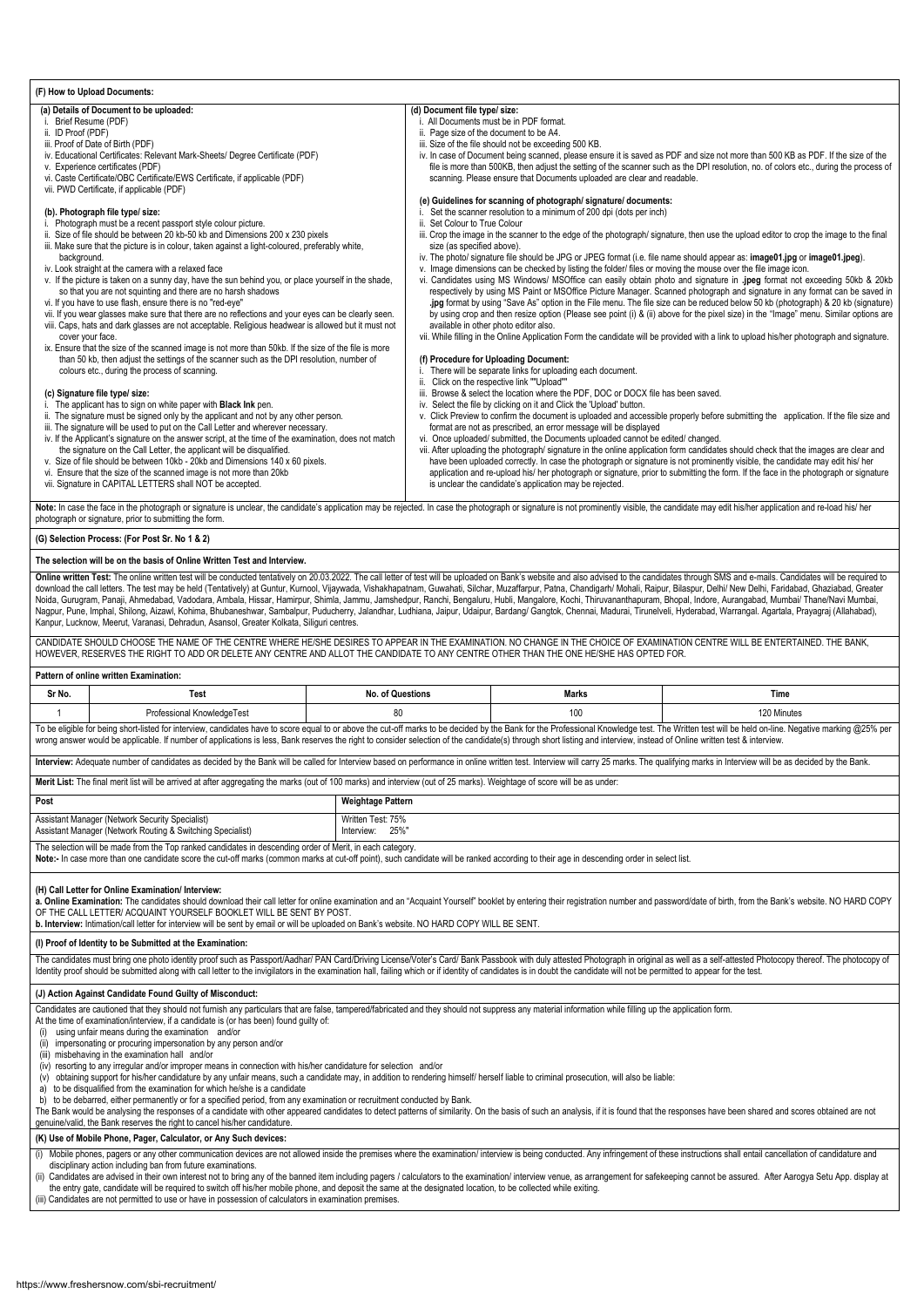| (F) How to Upload Documents:                                                                                             |                                                                                                                                                                                   |  |  |  |  |  |
|--------------------------------------------------------------------------------------------------------------------------|-----------------------------------------------------------------------------------------------------------------------------------------------------------------------------------|--|--|--|--|--|
| (a) Details of Document to be uploaded:                                                                                  | (d) Document file type/ size:                                                                                                                                                     |  |  |  |  |  |
| Brief Resume (PDF)                                                                                                       | i. All Documents must be in PDF format.                                                                                                                                           |  |  |  |  |  |
| ii. ID Proof (PDF)                                                                                                       | ii. Page size of the document to be A4.                                                                                                                                           |  |  |  |  |  |
| iii. Proof of Date of Birth (PDF)                                                                                        | iii. Size of the file should not be exceeding 500 KB.                                                                                                                             |  |  |  |  |  |
| iv. Educational Certificates: Relevant Mark-Sheets/ Degree Certificate (PDF)                                             | iv. In case of Document being scanned, please ensure it is saved as PDF and size not more than 500 KB as PDF. If the size of the                                                  |  |  |  |  |  |
| v. Experience certificates (PDF)                                                                                         | file is more than 500KB, then adjust the setting of the scanner such as the DPI resolution, no. of colors etc., during the process of                                             |  |  |  |  |  |
| vi. Caste Certificate/OBC Certificate/EWS Certificate, if applicable (PDF)                                               | scanning. Please ensure that Documents uploaded are clear and readable.                                                                                                           |  |  |  |  |  |
| vii. PWD Certificate, if applicable (PDF)                                                                                |                                                                                                                                                                                   |  |  |  |  |  |
|                                                                                                                          | (e) Guidelines for scanning of photograph/signature/documents:                                                                                                                    |  |  |  |  |  |
| (b). Photograph file type/ size:                                                                                         | i. Set the scanner resolution to a minimum of 200 dpi (dots per inch)                                                                                                             |  |  |  |  |  |
| Photograph must be a recent passport style colour picture.                                                               | ii. Set Colour to True Colour                                                                                                                                                     |  |  |  |  |  |
| Size of file should be between 20 kb-50 kb and Dimensions 200 x 230 pixels                                               | iii. Crop the image in the scanner to the edge of the photograph/ signature, then use the upload editor to crop the image to the final                                            |  |  |  |  |  |
| iii. Make sure that the picture is in colour, taken against a light-coloured, preferably white,                          | size (as specified above).                                                                                                                                                        |  |  |  |  |  |
| background.                                                                                                              | iv. The photo/ signature file should be JPG or JPEG format (i.e. file name should appear as: image01.jpg or image01.jpeg).                                                        |  |  |  |  |  |
| iv. Look straight at the camera with a relaxed face                                                                      | v. Image dimensions can be checked by listing the folder/ files or moving the mouse over the file image icon.                                                                     |  |  |  |  |  |
| v. If the picture is taken on a sunny day, have the sun behind you, or place yourself in the shade,                      | vi. Candidates using MS Windows/ MSOffice can easily obtain photo and signature in .jpeg format not exceeding 50kb & 20kb                                                         |  |  |  |  |  |
| so that you are not squinting and there are no harsh shadows                                                             | respectively by using MS Paint or MSOffice Picture Manager. Scanned photograph and signature in any format can be saved in                                                        |  |  |  |  |  |
| vi. If you have to use flash, ensure there is no "red-eye"                                                               | .jpg format by using "Save As" option in the File menu. The file size can be reduced below 50 kb (photograph) & 20 kb (signature)                                                 |  |  |  |  |  |
| vii. If you wear glasses make sure that there are no reflections and your eyes can be clearly seen.                      | by using crop and then resize option (Please see point (i) & (ii) above for the pixel size) in the "Image" menu. Similar options are                                              |  |  |  |  |  |
| viii. Caps, hats and dark glasses are not acceptable. Religious headwear is allowed but it must not                      | available in other photo editor also.<br>vii. While filling in the Online Application Form the candidate will be provided with a link to upload his/her photograph and signature. |  |  |  |  |  |
| cover your face.<br>ix. Ensure that the size of the scanned image is not more than 50kb. If the size of the file is more |                                                                                                                                                                                   |  |  |  |  |  |
| than 50 kb, then adjust the settings of the scanner such as the DPI resolution, number of                                | (f) Procedure for Uploading Document:                                                                                                                                             |  |  |  |  |  |
| colours etc., during the process of scanning.                                                                            | There will be separate links for uploading each document.                                                                                                                         |  |  |  |  |  |
|                                                                                                                          | ii. Click on the respective link ""Upload""                                                                                                                                       |  |  |  |  |  |
| (c) Signature file type/size:                                                                                            | iii. Browse & select the location where the PDF, DOC or DOCX file has been saved.                                                                                                 |  |  |  |  |  |
| The applicant has to sign on white paper with <b>Black Ink</b> pen.                                                      | iv. Select the file by clicking on it and Click the 'Upload' button.                                                                                                              |  |  |  |  |  |
| ii. The signature must be signed only by the applicant and not by any other person.                                      | v. Click Preview to confirm the document is uploaded and accessible properly before submitting the application. If the file size and                                              |  |  |  |  |  |
| iii. The signature will be used to put on the Call Letter and wherever necessary.                                        | format are not as prescribed, an error message will be displayed                                                                                                                  |  |  |  |  |  |
| iv. If the Applicant's signature on the answer script, at the time of the examination, does not match                    | vi. Once uploaded/ submitted, the Documents uploaded cannot be edited/ changed.                                                                                                   |  |  |  |  |  |
| the signature on the Call Letter, the applicant will be disqualified.                                                    | vii. After uploading the photograph/ signature in the online application form candidates should check that the images are clear and                                               |  |  |  |  |  |
| v. Size of file should be between 10kb - 20kb and Dimensions 140 x 60 pixels.                                            | have been uploaded correctly. In case the photograph or signature is not prominently visible, the candidate may edit his/ her                                                     |  |  |  |  |  |
| vi. Ensure that the size of the scanned image is not more than 20kb                                                      | application and re-upload his/ her photograph or signature, prior to submitting the form. If the face in the photograph or signature                                              |  |  |  |  |  |
| vii. Signature in CAPITAL LETTERS shall NOT be accepted.                                                                 | is unclear the candidate's application may be rejected.                                                                                                                           |  |  |  |  |  |
|                                                                                                                          |                                                                                                                                                                                   |  |  |  |  |  |

Note: In case the face in the photograph or signature is unclear, the candidate's application may be rejected. In case the photograph or signature is not prominently visible, the candidate may edit his/her application and photograph or signature, prior to submitting the form.

Online written Test: The online written test will be conducted tentatively on 20.03.2022. The call letter of test will be uploaded on Bank's website and also advised to the candidates through SMS and e-mails. Candidates wi download the call letters. The test may be held (Tentatively) at Guntur, Kurnool, Vijaywada, Vishakhapatnam, Guwahati, Silchar, Muzaffarpur, Patna, Chandigarh/ Mohali, Raipur, Bilaspur, Delhi/ New Delhi, Faridabad, Ghaziab Noida, Gurugram, Panaji, Ahmedabad, Vadodara, Ambala, Hissar, Hamirpur, Shimla, Jammu, Jamshedpur, Ranchi, Bengaluru, Hubli, Mangalore, Kochi, Thiruvananthapuram, Bhopal, Indore, Aurangabad, Mumbai/ Thane/Navi Mumbai, Nagpur, Pune, Imphal, Shilong, Aizawl, Kohima, Bhubaneshwar, Sambalpur, Puducherry, Jalandhar, Ludhiana, Jaipur, Udaipur, Bardang/ Gangtok, Chennai, Madurai, Tirunelveli, Hyderabad, Warrangal. Agartala, Prayagraj (Allahaba Kanpur, Lucknow, Meerut, Varanasi, Dehradun, Asansol, Greater Kolkata, Siliguri centres.

## **(G) Selection Process: (For Post Sr. No 1 & 2)**

The Bank would be analysing the responses of a candidate with other appeared candidates to detect patterns of similarity. On the basis of such an analysis, if it is found that the responses have been shared and scores obta genuine/valid, the Bank reserves the right to cancel his/her candidature.

#### **The selection will be on the basis of Online Written Test and Interview.**

- (i) Mobile phones, pagers or any other communication devices are not allowed inside the premises where the examination/interview is being conducted. Any infringement of these instructions shall entail cancellation of candi disciplinary action including ban from future examinations.
- (ii) Candidates are advised in their own interest not to bring any of the banned item including pagers / calculators to the examination/ interview venue, as arrangement for safekeeping cannot be assured. After Aarogya Setu the entry gate, candidate will be required to switch off his/her mobile phone, and deposit the same at the designated location, to be collected while exiting.

CANDIDATE SHOULD CHOOSE THE NAME OF THE CENTRE WHERE HE/SHE DESIRES TO APPEAR IN THE EXAMINATION. NO CHANGE IN THE CHOICE OF EXAMINATION CENTRE WILL BE ENTERTAINED. THE BANK, HOWEVER, RESERVES THE RIGHT TO ADD OR DELETE ANY CENTRE AND ALLOT THE CANDIDATE TO ANY CENTRE OTHER THAN THE ONE HE/SHE HAS OPTED FOR.

#### **Pattern of online written Examination:**

| Sr No.                                                                                                                                                                                                                                                                                                                                                                                                                                                                                                    | <b>Test</b>                                                                                                                                                                                                                   | <b>No. of Questions</b> | Marks | Time        |  |  |  |
|-----------------------------------------------------------------------------------------------------------------------------------------------------------------------------------------------------------------------------------------------------------------------------------------------------------------------------------------------------------------------------------------------------------------------------------------------------------------------------------------------------------|-------------------------------------------------------------------------------------------------------------------------------------------------------------------------------------------------------------------------------|-------------------------|-------|-------------|--|--|--|
|                                                                                                                                                                                                                                                                                                                                                                                                                                                                                                           | Professional KnowledgeTest                                                                                                                                                                                                    | 80                      | 100   | 120 Minutes |  |  |  |
| To be eligible for being short-listed for interview, candidates have to score equal to or above the cut-off marks to be decided by the Bank for the Professional Knowledge test. The Written test will be held on-line. Negati<br>wrong answer would be applicable. If number of applications is less, Bank reserves the right to consider selection of the candidate(s) through short listing and interview, instead of Online written test & interview.                                                 |                                                                                                                                                                                                                               |                         |       |             |  |  |  |
|                                                                                                                                                                                                                                                                                                                                                                                                                                                                                                           | Interview: Adequate number of candidates as decided by the Bank will be called for Interview based on performance in online written test. Interview will carry 25 marks. The qualifying marks in Interview will be as decided |                         |       |             |  |  |  |
| Merit List: The final merit list will be arrived at after aggregating the marks (out of 100 marks) and interview (out of 25 marks). Weightage of score will be as under:                                                                                                                                                                                                                                                                                                                                  |                                                                                                                                                                                                                               |                         |       |             |  |  |  |
| Post<br><b>Weightage Pattern</b>                                                                                                                                                                                                                                                                                                                                                                                                                                                                          |                                                                                                                                                                                                                               |                         |       |             |  |  |  |
|                                                                                                                                                                                                                                                                                                                                                                                                                                                                                                           | Assistant Manager (Network Security Specialist)<br>Written Test: 75%<br>Assistant Manager (Network Routing & Switching Specialist)<br>25%"<br>Interview:                                                                      |                         |       |             |  |  |  |
| The selection will be made from the Top ranked candidates in descending order of Merit, in each category.<br>Note:- In case more than one candidate score the cut-off marks (common marks at cut-off point), such candidate will be ranked according to their age in descending order in select list.                                                                                                                                                                                                     |                                                                                                                                                                                                                               |                         |       |             |  |  |  |
| (H) Call Letter for Online Examination/ Interview:<br>a. Online Examination: The candidates should download their call letter for online examination and an "Acquaint Yourself" booklet by entering their registration number and password/date of birth, from the Bank's website. N<br>OF THE CALL LETTER/ ACQUAINT YOURSELF BOOKLET WILL BE SENT BY POST.<br>b. Interview: Intimation/call letter for interview will be sent by email or will be uploaded on Bank's website. NO HARD COPY WILL BE SENT. |                                                                                                                                                                                                                               |                         |       |             |  |  |  |

#### **(I) Proof of Identity to be Submitted at the Examination:**

The candidates must bring one photo identity proof such as Passport/Aadhar/ PAN Card/Driving License/Voter's Card/ Bank Passbook with duly attested Photograph in original as well as a self-attested Photocopy thereof. The p Identity proof should be submitted along with call letter to the invigilators in the examination hall, failing which or if identity of candidates is in doubt the candidate will not be permitted to appear for the test.

**(J) Action Against Candidate Found Guilty of Misconduct:**

Candidates are cautioned that they should not furnish any particulars that are false, tampered/fabricated and they should not suppress any material information while filling up the application form.

At the time of examination/interview, if a candidate is (or has been) found guilty of:

- (i) using unfair means during the examination and/or
- (ii) impersonating or procuring impersonation by any person and/or
- (iii) misbehaving in the examination hall and/or
- (iv) resorting to any irregular and/or improper means in connection with his/her candidature for selection and/or
- (v) obtaining support for his/her candidature by any unfair means, such a candidate may, in addition to rendering himself/ herself liable to criminal prosecution, will also be liable:
- a) to be disqualified from the examination for which he/she is a candidate
- b) to be debarred, either permanently or for a specified period, from any examination or recruitment conducted by Bank.

## **(K) Use of Mobile Phone, Pager, Calculator, or Any Such devices:**

(iii) Candidates are not permitted to use or have in possession of calculators in examination premises.